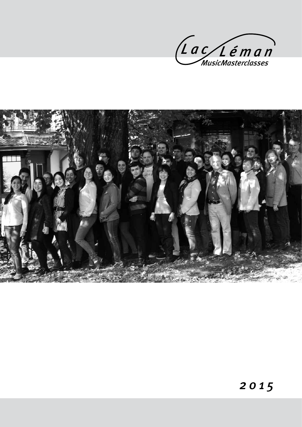

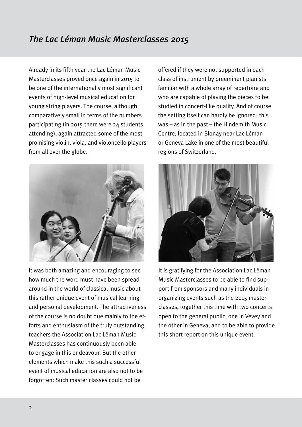Already in its fifth year the Lac Léman Music Masterclasses proved once again in 2015 to be one of the internationally most significant events of high-level musical education for young string players. The course, although comparatively small in terms of the numbers participating (in 2015 there were 24 students attending), again attracted some of the most promising violin, viola, and violoncello players from all over the globe.



It was both amazing and encouraging to see how much the word must have been spread around in the world of classical music about this rather unique event of musical learning and personal development. The attractiveness of the course is no doubt due mainly to the efforts and enthusiasm of the truly outstanding teachers the Association Lac Léman Music Masterclasses has continuously been able to engage in this endeavour. But the other elements which make this such a successful event of musical education are also not to be forgotten: Such master classes could not be

offered if they were not supported in each class of instrument by preeminent pianists familiar with a whole array of repertoire and who are capable of playing the pieces to be studied in concert-like quality. And of course the setting itself can hardly be ignored; this was – as in the past – the Hindemith Music Centre, located in Blonay near Lac Léman or Geneva Lake in one of the most beautiful regions of Switzerland.



It is gratifying for the Association Lac Léman Music Masterclasses to be able to find support from sponsors and many individuals in organizing events such as the 2015 masterclasses, together this time with two concerts open to the general public, one in Vevey and the other in Geneva, and to be able to provide this short report on this unique event.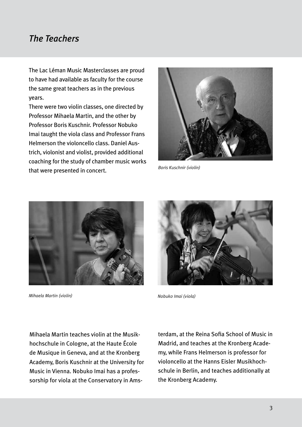## *The Teachers*

The Lac Léman Music Masterclasses are proud to have had available as faculty for the course the same great teachers as in the previous years.

There were two violin classes, one directed by Professor Mihaela Martin, and the other by Professor Boris Kuschnir. Professor Nobuko Imai taught the viola class and Professor Frans Helmerson the violoncello class. Daniel Austrich, violonist and violist, provided additional coaching for the study of chamber music works that were presented in concert. *Boris Kuschnir (violin)*





*Mihaela Martin (violin)* 



*Nobuko Imai (viola)*

Mihaela Martin teaches violin at the Musikhochschule in Cologne, at the Haute École de Musique in Geneva, and at the Kronberg Academy, Boris Kuschnir at the University for Music in Vienna. Nobuko Imai has a professorship for viola at the Conservatory in Amsterdam, at the Reina Sofia School of Music in Madrid, and teaches at the Kronberg Academy, while Frans Helmerson is professor for violoncello at the Hanns Eisler Musikhochschule in Berlin, and teaches additionally at the Kronberg Academy.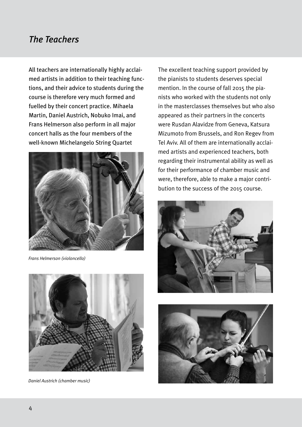# *The Teachers*

All teachers are internationally highly acclaimed artists in addition to their teaching functions, and their advice to students during the course is therefore very much formed and fuelled by their concert practice. Mihaela Martin, Daniel Austrich, Nobuko Imai, and Frans Helmerson also perform in all major concert halls as the four members of the well-known Michelangelo String Quartet



*Frans Helmerson (violoncello)*



*Daniel Austrich (chamber music)*

The excellent teaching support provided by the pianists to students deserves special mention. In the course of fall 2015 the pianists who worked with the students not only in the masterclasses themselves but who also appeared as their partners in the concerts were Rusdan Alavidze from Geneva, Katsura Mizumoto from Brussels, and Ron Regev from Tel Aviv. All of them are internationally acclaimed artists and experienced teachers, both regarding their instrumental ability as well as for their performance of chamber music and were, therefore, able to make a major contribution to the success of the 2015 course.



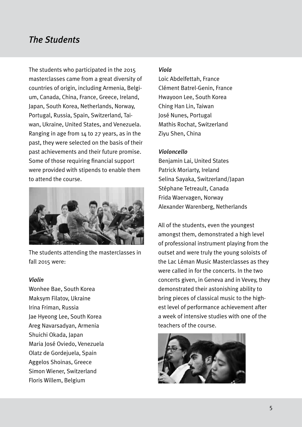## *The Students*

The students who participated in the 2015 masterclasses came from a great diversity of countries of origin, including Armenia, Belgium, Canada, China, France, Greece, Ireland, Japan, South Korea, Netherlands, Norway, Portugal, Russia, Spain, Switzerland, Taiwan, Ukraine, United States, and Venezuela. Ranging in age from 14 to 27 years, as in the past, they were selected on the basis of their past achievements and their future promise. Some of those requiring financial support were provided with stipends to enable them to attend the course.



The students attending the masterclasses in fall 2015 were:

### *Violin*

Wonhee Bae, South Korea Maksym Filatov, Ukraine Irina Friman, Russia Jae Hyeong Lee, South Korea Areg Navarsadyan, Armenia Shuichi Okada, Japan Maria José Oviedo, Venezuela Olatz de Gordejuela, Spain Aggelos Shoinas, Greece Simon Wiener, Switzerland Floris Willem, Belgium

### *Viola*

Loic Abdelfettah, France Clément Batrel-Genin, France Hwayoon Lee, South Korea Ching Han Lin, Taiwan José Nunes, Portugal Mathis Rochat, Switzerland Ziyu Shen, China

#### *Violoncello*

Benjamin Lai, United States Patrick Moriarty, Ireland Selina Sayaka, Switzerland/Japan Stéphane Tetreault, Canada Frida Waervagen, Norway Alexander Warenberg, Netherlands

All of the students, even the youngest amongst them, demonstrated a high level of professional instrument playing from the outset and were truly the young soloists of the Lac Léman Music Masterclasses as they were called in for the concerts. In the two concerts given, in Geneva and in Vevey, they demonstrated their astonishing ability to bring pieces of classical music to the highest level of performance achievement after a week of intensive studies with one of the teachers of the course.

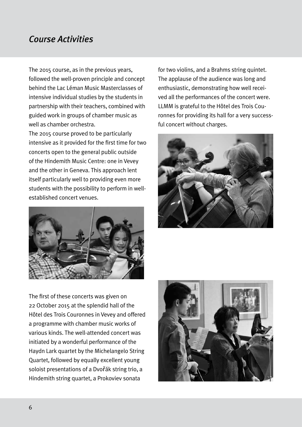# *Course Activities*

The 2015 course, as in the previous years, followed the well-proven principle and concept behind the Lac Léman Music Masterclasses of intensive individual studies by the students in partnership with their teachers, combined with guided work in groups of chamber music as well as chamber orchestra.

The 2015 course proved to be particularly intensive as it provided for the first time for two concerts open to the general public outside of the Hindemith Music Centre: one in Vevey and the other in Geneva. This approach lent itself particularly well to providing even more students with the possibility to perform in wellestablished concert venues.



for two violins, and a Brahms string quintet. The applause of the audience was long and enthusiastic, demonstrating how well received all the performances of the concert were. LLMM is grateful to the Hôtel des Trois Couronnes for providing its hall for a very successful concert without charges.



The first of these concerts was given on 22 October 2015 at the splendid hall of the Hôtel des Trois Couronnes in Vevey and offered a programme with chamber music works of various kinds. The well-attended concert was initiated by a wonderful performance of the Haydn Lark quartet by the Michelangelo String Quartet, followed by equally excellent young soloist presentations of a Dvořák string trio, a Hindemith string quartet, a Prokoviev sonata

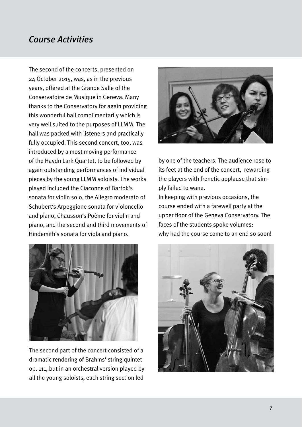# *Course Activities*

The second of the concerts, presented on 24 October 2015, was, as in the previous years, offered at the Grande Salle of the Conservatoire de Musique in Geneva. Many thanks to the Conservatory for again providing this wonderful hall complimentarily which is very well suited to the purposes of LLMM. The hall was packed with listeners and practically fully occupied. This second concert, too, was introduced by a most moving performance of the Haydn Lark Quartet, to be followed by again outstanding performances of individual pieces by the young LLMM soloists. The works played included the Ciaconne of Bartok's sonata for violin solo, the Allegro moderato of Schubert's Arpeggione sonata for violoncello and piano, Chausson's Poème for violin and piano, and the second and third movements of Hindemith's sonata for viola and piano.



The second part of the concert consisted of a dramatic rendering of Brahms' string quintet op. 111, but in an orchestral version played by all the young soloists, each string section led



by one of the teachers. The audience rose to its feet at the end of the concert, rewarding the players with frenetic applause that simply failed to wane.

In keeping with previous occasions, the course ended with a farewell party at the upper floor of the Geneva Conservatory. The faces of the students spoke volumes: why had the course come to an end so soon!